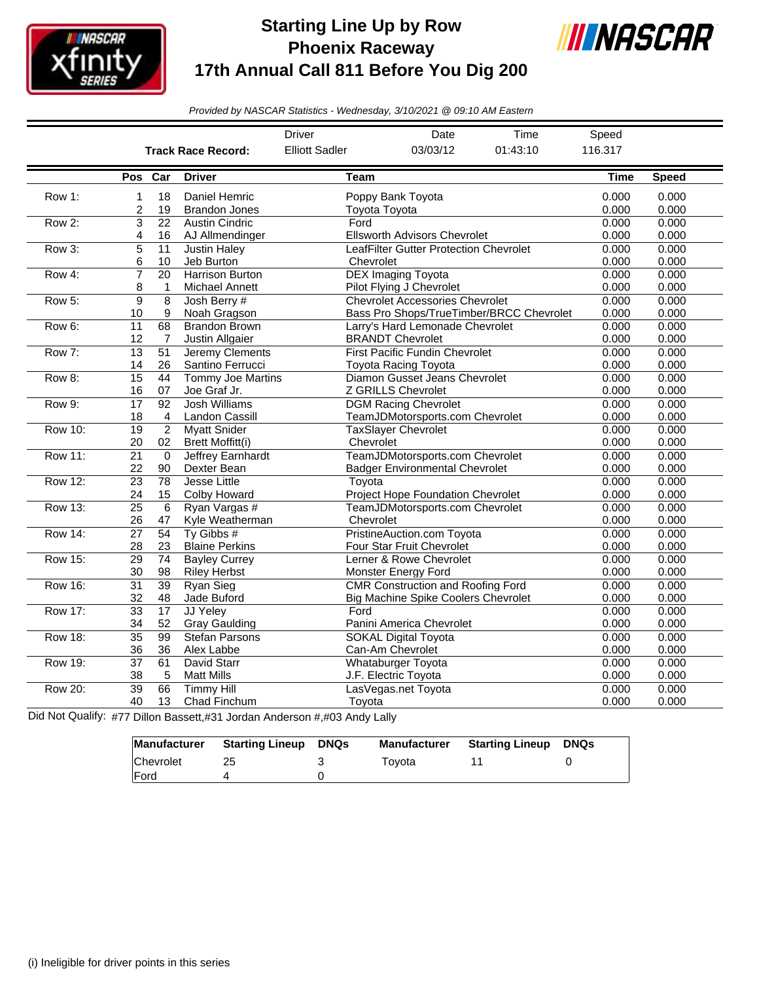

## **Starting Line Up by Row Phoenix Raceway 17th Annual Call 811 Before You Dig 200**



*Provided by NASCAR Statistics - Wednesday, 3/10/2021 @ 09:10 AM Eastern*

|                |                           |                       |                                                | <b>Driver</b>         | Date                                                                                   | Time                                     | Speed          |                |
|----------------|---------------------------|-----------------------|------------------------------------------------|-----------------------|----------------------------------------------------------------------------------------|------------------------------------------|----------------|----------------|
|                | <b>Track Race Record:</b> |                       |                                                | <b>Elliott Sadler</b> | 03/03/12                                                                               | 01:43:10                                 | 116.317        |                |
|                | Pos Car                   |                       | <b>Driver</b>                                  | Team                  |                                                                                        |                                          | Time           | <b>Speed</b>   |
| Row 1:         | 1<br>2                    | 18<br>19              | Daniel Hemric<br><b>Brandon Jones</b>          | Toyota Toyota         | Poppy Bank Toyota                                                                      |                                          | 0.000<br>0.000 | 0.000<br>0.000 |
| Row 2:         | 3<br>4                    | $\overline{22}$<br>16 | <b>Austin Cindric</b><br>AJ Allmendinger       | Ford                  | <b>Ellsworth Advisors Chevrolet</b>                                                    |                                          | 0.000<br>0.000 | 0.000<br>0.000 |
| Row 3:         | 5<br>6                    | 11<br>10              | <b>Justin Haley</b><br>Jeb Burton              | Chevrolet             | LeafFilter Gutter Protection Chevrolet                                                 |                                          | 0.000<br>0.000 | 0.000<br>0.000 |
| Row 4:         | $\overline{7}$<br>8       | 20<br>1               | <b>Harrison Burton</b><br>Michael Annett       |                       | <b>DEX Imaging Toyota</b><br>Pilot Flying J Chevrolet                                  |                                          | 0.000<br>0.000 | 0.000<br>0.000 |
| Row 5:         | 9<br>10                   | 8<br>9                | Josh Berry #<br>Noah Gragson                   |                       | <b>Chevrolet Accessories Chevrolet</b>                                                 | Bass Pro Shops/TrueTimber/BRCC Chevrolet | 0.000<br>0.000 | 0.000<br>0.000 |
| Row 6:         | 11<br>12                  | 68<br>7               | <b>Brandon Brown</b><br>Justin Allgaier        |                       | Larry's Hard Lemonade Chevrolet<br><b>BRANDT Chevrolet</b>                             |                                          | 0.000<br>0.000 | 0.000<br>0.000 |
| Row 7:         | $\overline{13}$<br>14     | $\overline{51}$<br>26 | Jeremy Clements<br>Santino Ferrucci            |                       | <b>First Pacific Fundin Chevrolet</b><br><b>Toyota Racing Toyota</b>                   |                                          | 0.000<br>0.000 | 0.000<br>0.000 |
| Row 8:         | 15<br>16                  | 44<br>07              | Tommy Joe Martins<br>Joe Graf Jr.              |                       | Diamon Gusset Jeans Chevrolet<br>Z GRILLS Chevrolet                                    |                                          | 0.000<br>0.000 | 0.000<br>0.000 |
| Row 9:         | 17<br>18                  | 92<br>$\overline{4}$  | <b>Josh Williams</b><br>Landon Cassill         |                       | <b>DGM Racing Chevrolet</b><br>TeamJDMotorsports.com Chevrolet                         |                                          | 0.000<br>0.000 | 0.000<br>0.000 |
| <b>Row 10:</b> | $\overline{19}$<br>20     | $\overline{2}$<br>02  | <b>Myatt Snider</b><br><b>Brett Moffitt(i)</b> | Chevrolet             | <b>TaxSlayer Chevrolet</b>                                                             |                                          | 0.000<br>0.000 | 0.000<br>0.000 |
| <b>Row 11:</b> | $\overline{21}$<br>22     | $\Omega$<br>90        | Jeffrey Earnhardt<br>Dexter Bean               |                       | TeamJDMotorsports.com Chevrolet<br><b>Badger Environmental Chevrolet</b>               |                                          | 0.000<br>0.000 | 0.000<br>0.000 |
| <b>Row 12:</b> | $\overline{23}$<br>24     | 78<br>15              | Jesse Little<br>Colby Howard                   | Toyota                | Project Hope Foundation Chevrolet                                                      |                                          | 0.000<br>0.000 | 0.000<br>0.000 |
| <b>Row 13:</b> | $\overline{25}$<br>26     | $6\phantom{1}6$<br>47 | Ryan Vargas #<br>Kyle Weatherman               | Chevrolet             | TeamJDMotorsports.com Chevrolet                                                        |                                          | 0.000<br>0.000 | 0.000<br>0.000 |
| <b>Row 14:</b> | $\overline{27}$<br>28     | 54<br>23              | Tv Gibbs $#$<br><b>Blaine Perkins</b>          |                       | PristineAuction.com Toyota<br>Four Star Fruit Chevrolet                                |                                          | 0.000<br>0.000 | 0.000<br>0.000 |
| <b>Row 15:</b> | $\overline{29}$<br>30     | 74<br>98              | <b>Bayley Currey</b><br><b>Riley Herbst</b>    |                       | Lerner & Rowe Chevrolet<br>Monster Energy Ford                                         |                                          | 0.000<br>0.000 | 0.000<br>0.000 |
| <b>Row 16:</b> | $\overline{31}$<br>32     | $\overline{39}$<br>48 | <b>Ryan Sieg</b><br>Jade Buford                |                       | <b>CMR Construction and Roofing Ford</b><br><b>Big Machine Spike Coolers Chevrolet</b> |                                          | 0.000<br>0.000 | 0.000<br>0.000 |
| <b>Row 17:</b> | $\overline{33}$<br>34     | $\overline{17}$<br>52 | JJ Yeley<br><b>Gray Gaulding</b>               | Ford                  | Panini America Chevrolet                                                               |                                          | 0.000<br>0.000 | 0.000<br>0.000 |
| <b>Row 18:</b> | $\overline{35}$<br>36     | 99<br>36              | <b>Stefan Parsons</b><br>Alex Labbe            |                       | <b>SOKAL Digital Toyota</b><br>Can-Am Chevrolet                                        |                                          | 0.000<br>0.000 | 0.000<br>0.000 |
| Row 19:        | $\overline{37}$<br>38     | 61<br>5               | David Starr<br><b>Matt Mills</b>               |                       | <b>Whataburger Toyota</b><br>J.F. Electric Toyota                                      |                                          | 0.000<br>0.000 | 0.000<br>0.000 |
| <b>Row 20:</b> | $\overline{39}$<br>40     | 66<br>13              | <b>Timmy Hill</b><br>Chad Finchum              | Toyota                | LasVegas.net Toyota                                                                    |                                          | 0.000<br>0.000 | 0.000<br>0.000 |

Did Not Qualify: #77 Dillon Bassett,#31 Jordan Anderson #,#03 Andy Lally

|                  | Manufacturer Starting Lineup | <b>DNQs</b> | Manufacturer | <b>Starting Lineup</b> | DNQs |
|------------------|------------------------------|-------------|--------------|------------------------|------|
| <b>Chevrolet</b> |                              |             | Tovota       |                        |      |
| <b>IFord</b>     |                              |             |              |                        |      |